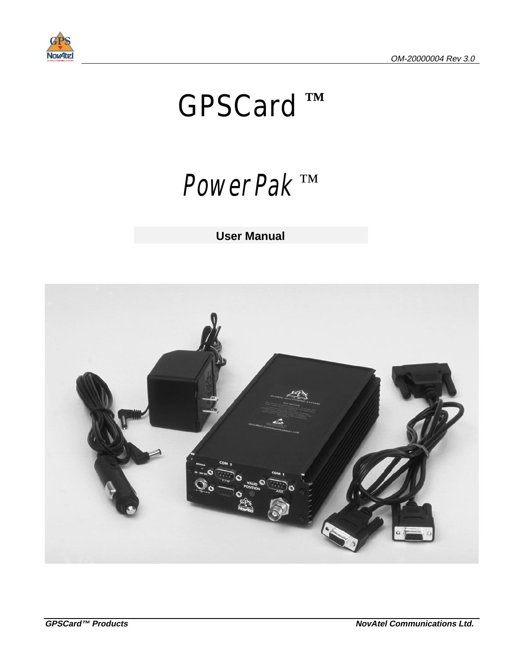

# *GPSCard ™*

# PowerPak *™*

**User Manual**

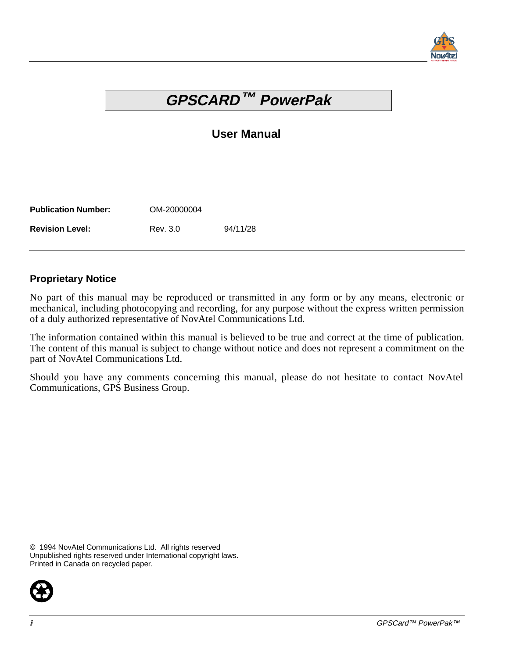

# **GPSCARD™ PowerPak**

#### **User Manual**

| <b>Publication Number:</b> | OM-20000004 |          |
|----------------------------|-------------|----------|
| <b>Revision Level:</b>     | Rev. 3.0    | 94/11/28 |

#### **Proprietary Notice**

No part of this manual may be reproduced or transmitted in any form or by any means, electronic or mechanical, including photocopying and recording, for any purpose without the express written permission of a duly authorized representative of NovAtel Communications Ltd.

The information contained within this manual is believed to be true and correct at the time of publication. The content of this manual is subject to change without notice and does not represent a commitment on the part of NovAtel Communications Ltd.

Should you have any comments concerning this manual, please do not hesitate to contact NovAtel Communications, GPS Business Group.

© 1994 NovAtel Communications Ltd. All rights reserved Unpublished rights reserved under International copyright laws. Printed in Canada on recycled paper.

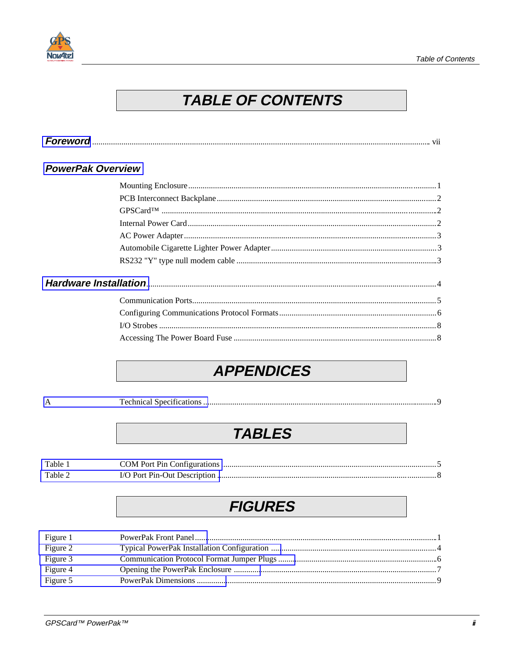



# **TABLE OF CONTENTS**

|--|--|

#### **PowerPak Overview**

## **APPENDICES**

 $\mathbf{A}$ 

#### 

# **TABLES**

| Table 1 |  |
|---------|--|
| Table 2 |  |

# **FIGURES**

| Figure 1 |  |
|----------|--|
| Figure 2 |  |
| Figure 3 |  |
| Figure 4 |  |
| Figure 5 |  |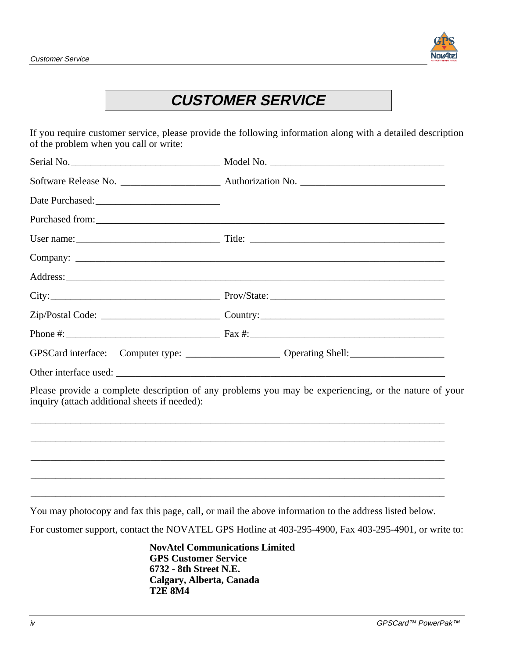

# **CUSTOMER SERVICE**

If you require customer service, please provide the following information along with a detailed description of the problem when you call or write:

|                                               | GPSCard interface: Computer type: ______________________ Operating Shell: _________________________  |
|-----------------------------------------------|------------------------------------------------------------------------------------------------------|
|                                               |                                                                                                      |
| inquiry (attach additional sheets if needed): | Please provide a complete description of any problems you may be experiencing, or the nature of your |
|                                               |                                                                                                      |
|                                               | ,我们也不能在这里的时候,我们也不能在这里的时候,我们也不能不能不能不能不能不能不能不能不能不能不能不能不能不能不能。""我们不能不能不能不能不能不能不能不能不能                    |
|                                               |                                                                                                      |
|                                               | ,我们也不能会有什么。""我们的人,我们也不能会有什么?""我们的人,我们也不能会有什么?""我们的人,我们也不能会有什么?""我们的人,我们也不能会有什么?""                    |

You may photocopy and fax this page, call, or mail the above information to the address listed below.

For customer support, contact the NOVATEL GPS Hotline at 403-295-4900, Fax 403-295-4901, or write to:

**NovAtel Communications Limited GPS Customer Service 6732 - 8th Street N.E. Calgary, Alberta, Canada T2E 8M4**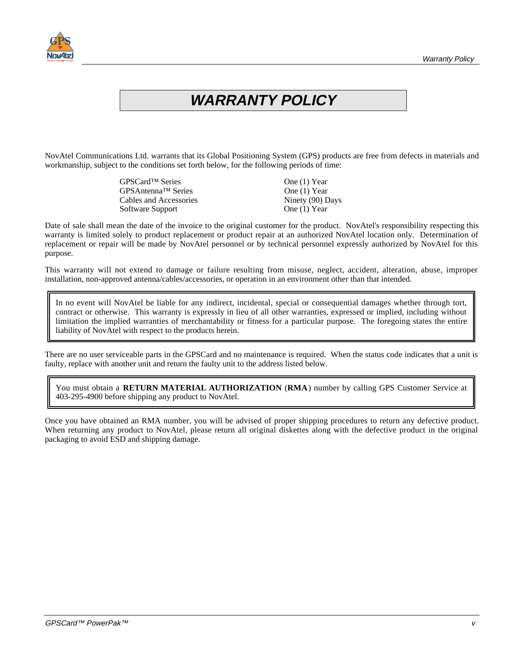

# **WARRANTY POLICY**

NovAtel Communications Ltd. warrants that its Global Positioning System (GPS) products are free from defects in materials and workmanship, subject to the conditions set forth below, for the following periods of time:

| GPSCard <sup>™</sup> Series | One (1) Year     |
|-----------------------------|------------------|
| GPSAntenna™ Series          | One $(1)$ Year   |
| Cables and Accessories      | Ninety (90) Days |
| Software Support            | One (1) Year     |

Date of sale shall mean the date of the invoice to the original customer for the product. NovAtel's responsibility respecting this warranty is limited solely to product replacement or product repair at an authorized NovAtel location only. Determination of replacement or repair will be made by NovAtel personnel or by technical personnel expressly authorized by NovAtel for this purpose.

This warranty will not extend to damage or failure resulting from misuse, neglect, accident, alteration, abuse, improper installation, non-approved antenna/cables/accessories, or operation in an environment other than that intended.

In no event will NovAtel be liable for any indirect, incidental, special or consequential damages whether through tort, contract or otherwise. This warranty is expressly in lieu of all other warranties, expressed or implied, including without limitation the implied warranties of merchantability or fitness for a particular purpose. The foregoing states the entire liability of NovAtel with respect to the products herein.

There are no user serviceable parts in the GPSCard and no maintenance is required. When the status code indicates that a unit is faulty, replace with another unit and return the faulty unit to the address listed below.

You must obtain a **RETURN MATERIAL AUTHORIZATION** (**RMA**) number by calling GPS Customer Service at 403-295-4900 before shipping any product to NovAtel.

Once you have obtained an RMA number, you will be advised of proper shipping procedures to return any defective product. When returning any product to NovAtel, please return all original diskettes along with the defective product in the original packaging to avoid ESD and shipping damage.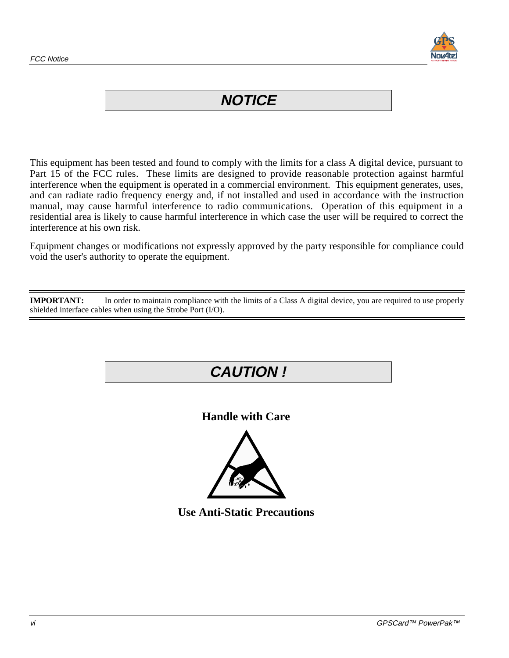

## **NOTICE**

This equipment has been tested and found to comply with the limits for a class A digital device, pursuant to Part 15 of the FCC rules. These limits are designed to provide reasonable protection against harmful interference when the equipment is operated in a commercial environment. This equipment generates, uses, and can radiate radio frequency energy and, if not installed and used in accordance with the instruction manual, may cause harmful interference to radio communications. Operation of this equipment in a residential area is likely to cause harmful interference in which case the user will be required to correct the interference at his own risk.

Equipment changes or modifications not expressly approved by the party responsible for compliance could void the user's authority to operate the equipment.

**IMPORTANT:** In order to maintain compliance with the limits of a Class A digital device, you are required to use properly shielded interface cables when using the Strobe Port (I/O).

# **CAUTION ! Handle with Care**

**Use Anti-Static Precautions**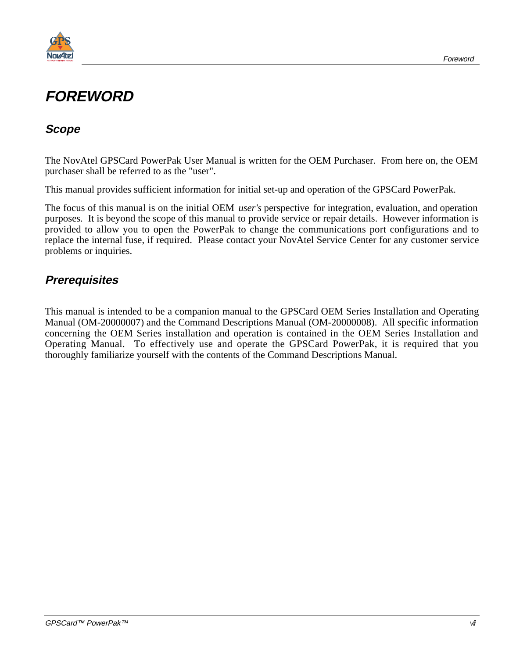<span id="page-6-0"></span>

## **FOREWORD**

#### **Scope**

The NovAtel GPSCard PowerPak User Manual is written for the OEM Purchaser. From here on, the OEM purchaser shall be referred to as the "user".

This manual provides sufficient information for initial set-up and operation of the GPSCard PowerPak.

The focus of this manual is on the initial OEM *user's* perspective for integration, evaluation, and operation purposes. It is beyond the scope of this manual to provide service or repair details. However information is provided to allow you to open the PowerPak to change the communications port configurations and to replace the internal fuse, if required. Please contact your NovAtel Service Center for any customer service problems or inquiries.

#### **Prerequisites**

This manual is intended to be a companion manual to the GPSCard OEM Series Installation and Operating Manual (OM-20000007) and the Command Descriptions Manual (OM-20000008). All specific information concerning the OEM Series installation and operation is contained in the OEM Series Installation and Operating Manual. To effectively use and operate the GPSCard PowerPak, it is required that you thoroughly familiarize yourself with the contents of the Command Descriptions Manual.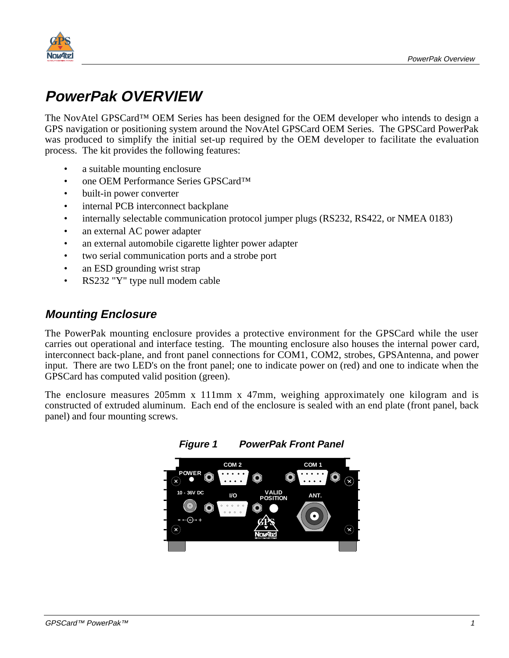<span id="page-8-0"></span>

# **PowerPak OVERVIEW**

The NovAtel GPSCard™ OEM Series has been designed for the OEM developer who intends to design a GPS navigation or positioning system around the NovAtel GPSCard OEM Series. The GPSCard PowerPak was produced to simplify the initial set-up required by the OEM developer to facilitate the evaluation process. The kit provides the following features:

- a suitable mounting enclosure
- one OEM Performance Series GPSCard<sup>TM</sup>
- built-in power converter
- internal PCB interconnect backplane
- internally selectable communication protocol jumper plugs (RS232, RS422, or NMEA 0183)
- an external AC power adapter
- an external automobile cigarette lighter power adapter
- two serial communication ports and a strobe port
- an ESD grounding wrist strap
- RS232 "Y" type null modem cable

#### **Mounting Enclosure**

The PowerPak mounting enclosure provides a protective environment for the GPSCard while the user carries out operational and interface testing. The mounting enclosure also houses the internal power card, interconnect back-plane, and front panel connections for COM1, COM2, strobes, GPSAntenna, and power input. There are two LED's on the front panel; one to indicate power on (red) and one to indicate when the GPSCard has computed valid position (green).

The enclosure measures 205mm x 111mm x 47mm, weighing approximately one kilogram and is constructed of extruded aluminum. Each end of the enclosure is sealed with an end plate (front panel, back panel) and four mounting screws.

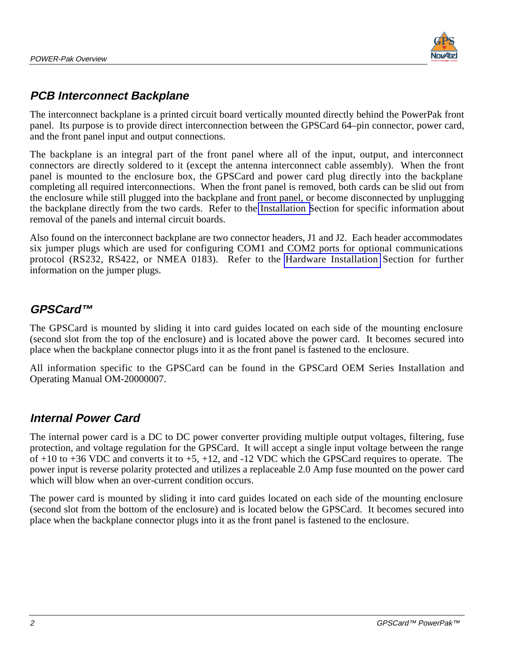

#### **PCB Interconnect Backplane**

The interconnect backplane is a printed circuit board vertically mounted directly behind the PowerPak front panel. Its purpose is to provide direct interconnection between the GPSCard 64–pin connector, power card, and the front panel input and output connections.

The backplane is an integral part of the front panel where all of the input, output, and interconnect connectors are directly soldered to it (except the antenna interconnect cable assembly). When the front panel is mounted to the enclosure box, the GPSCard and power card plug directly into the backplane completing all required interconnections. When the front panel is removed, both cards can be slid out from the enclosure while still plugged into the backplane and front panel, or become disconnected by unplugging the backplane directly from the two cards. Refer to the [Installation S](#page-14-0)ection for specific information about removal of the panels and internal circuit boards.

Also found on the interconnect backplane are two connector headers, J1 and J2. Each header accommodates six jumper plugs which are used for configuring COM1 and COM2 ports for optional communications protocol (RS232, RS422, or NMEA 0183). Refer to the [Hardware Installation](#page-12-0) Section for further information on the jumper plugs.

#### **GPSCard™**

The GPSCard is mounted by sliding it into card guides located on each side of the mounting enclosure (second slot from the top of the enclosure) and is located above the power card. It becomes secured into place when the backplane connector plugs into it as the front panel is fastened to the enclosure.

All information specific to the GPSCard can be found in the GPSCard OEM Series Installation and Operating Manual OM-20000007.

#### **Internal Power Card**

The internal power card is a DC to DC power converter providing multiple output voltages, filtering, fuse protection, and voltage regulation for the GPSCard. It will accept a single input voltage between the range of  $+10$  to  $+36$  VDC and converts it to  $+5$ ,  $+12$ , and  $-12$  VDC which the GPSCard requires to operate. The power input is reverse polarity protected and utilizes a replaceable 2.0 Amp fuse mounted on the power card which will blow when an over-current condition occurs.

The power card is mounted by sliding it into card guides located on each side of the mounting enclosure (second slot from the bottom of the enclosure) and is located below the GPSCard. It becomes secured into place when the backplane connector plugs into it as the front panel is fastened to the enclosure.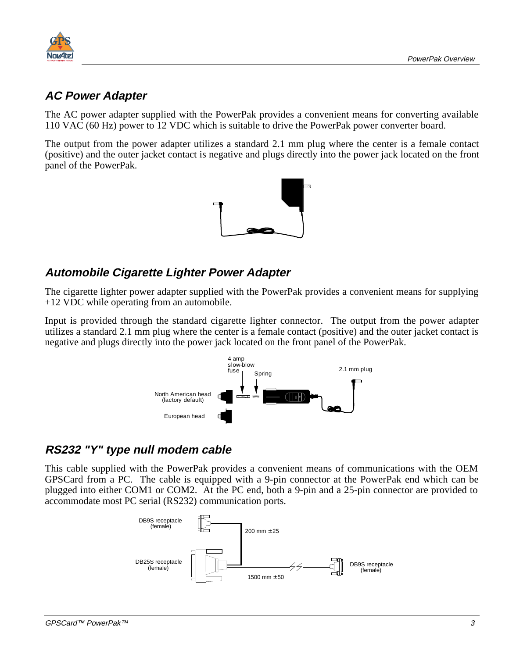

#### **AC Power Adapter**

The AC power adapter supplied with the PowerPak provides a convenient means for converting available 110 VAC (60 Hz) power to 12 VDC which is suitable to drive the PowerPak power converter board.

The output from the power adapter utilizes a standard 2.1 mm plug where the center is a female contact (positive) and the outer jacket contact is negative and plugs directly into the power jack located on the front panel of the PowerPak.



#### **Automobile Cigarette Lighter Power Adapter**

The cigarette lighter power adapter supplied with the PowerPak provides a convenient means for supplying +12 VDC while operating from an automobile.

Input is provided through the standard cigarette lighter connector. The output from the power adapter utilizes a standard 2.1 mm plug where the center is a female contact (positive) and the outer jacket contact is negative and plugs directly into the power jack located on the front panel of the PowerPak.



#### **RS232 "Y" type null modem cable**

This cable supplied with the PowerPak provides a convenient means of communications with the OEM GPSCard from a PC. The cable is equipped with a 9-pin connector at the PowerPak end which can be plugged into either COM1 or COM2. At the PC end, both a 9-pin and a 25-pin connector are provided to accommodate most PC serial (RS232) communication ports.

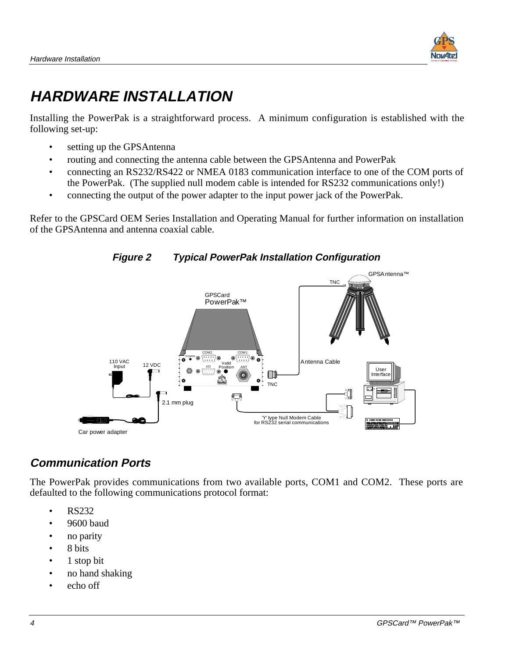

# <span id="page-11-0"></span>**HARDWARE INSTALLATION**

Installing the PowerPak is a straightforward process. A minimum configuration is established with the following set-up:

- setting up the GPSAntenna
- routing and connecting the antenna cable between the GPSAntenna and PowerPak
- connecting an RS232/RS422 or NMEA 0183 communication interface to one of the COM ports of the PowerPak. (The supplied null modem cable is intended for RS232 communications only!)
- connecting the output of the power adapter to the input power jack of the PowerPak.

Refer to the GPSCard OEM Series Installation and Operating Manual for further information on installation of the GPSAntenna and antenna coaxial cable.





#### **Communication Ports**

The PowerPak provides communications from two available ports, COM1 and COM2. These ports are defaulted to the following communications protocol format:

- RS232
- 9600 baud
- no parity
- 8 bits
- 1 stop bit
- no hand shaking
- echo off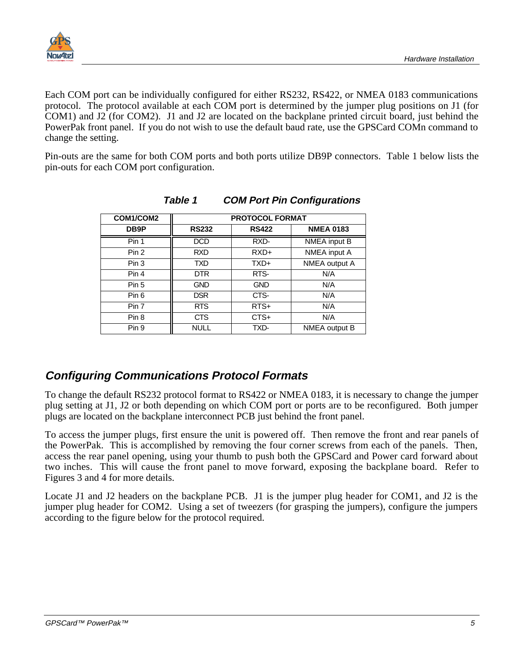<span id="page-12-0"></span>

Each COM port can be individually configured for either RS232, RS422, or NMEA 0183 communications protocol. The protocol available at each COM port is determined by the jumper plug positions on J1 (for COM1) and J2 (for COM2). J1 and J2 are located on the backplane printed circuit board, just behind the PowerPak front panel. If you do not wish to use the default baud rate, use the GPSCard COMn command to change the setting.

Pin-outs are the same for both COM ports and both ports utilize DB9P connectors. Table 1 below lists the pin-outs for each COM port configuration.

| COM1/COM2        | <b>PROTOCOL FORMAT</b> |              |                  |
|------------------|------------------------|--------------|------------------|
| DB9P             | <b>RS232</b>           | <b>RS422</b> | <b>NMEA 0183</b> |
| Pin 1            | <b>DCD</b>             | RXD-         | NMEA input B     |
| Pin <sub>2</sub> | <b>RXD</b>             | $RXD+$       | NMEA input A     |
| Pin 3            | <b>TXD</b>             | TXD+         | NMEA output A    |
| Pin 4            | DTR.                   | RTS-         | N/A              |
| Pin 5            | <b>GND</b>             | <b>GND</b>   | N/A              |
| Pin 6            | <b>DSR</b>             | CTS-         | N/A              |
| Pin 7            | <b>RTS</b>             | $RTS+$       | N/A              |
| Pin 8            | <b>CTS</b>             | CTS+         | N/A              |
| Pin 9            | <b>NULL</b>            | TXD-         | NMEA output B    |

#### **Table 1 COM Port Pin Configurations**

#### **Configuring Communications Protocol Formats**

To change the default RS232 protocol format to RS422 or NMEA 0183, it is necessary to change the jumper plug setting at J1, J2 or both depending on which COM port or ports are to be reconfigured. Both jumper plugs are located on the backplane interconnect PCB just behind the front panel.

To access the jumper plugs, first ensure the unit is powered off. Then remove the front and rear panels of the PowerPak. This is accomplished by removing the four corner screws from each of the panels. Then, access the rear panel opening, using your thumb to push both the GPSCard and Power card forward about two inches. This will cause the front panel to move forward, exposing the backplane board. Refer to Figures 3 and 4 for more details.

Locate J1 and J2 headers on the backplane PCB. J1 is the jumper plug header for COM1, and J2 is the jumper plug header for COM2. Using a set of tweezers (for grasping the jumpers), configure the jumpers according to the figure below for the protocol required.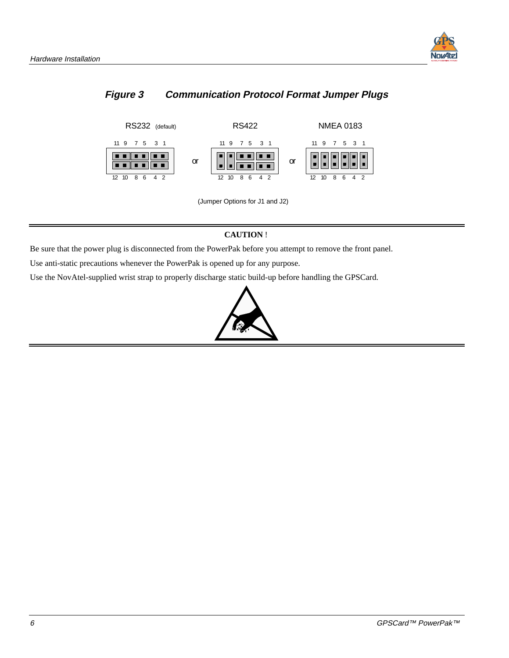

#### <span id="page-13-0"></span>**Figure 3 Communication Protocol Format Jumper Plugs**



(Jumper Options for J1 and J2)

#### **CAUTION** !

Be sure that the power plug is disconnected from the PowerPak before you attempt to remove the front panel.

Use anti-static precautions whenever the PowerPak is opened up for any purpose.

Use the NovAtel-supplied wrist strap to properly discharge static build-up before handling the GPSCard.

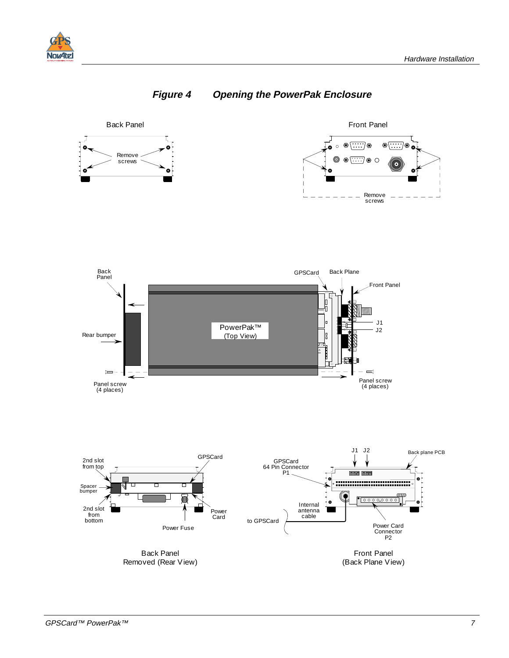<span id="page-14-0"></span>





(Back Plane View)

Removed (Rear View)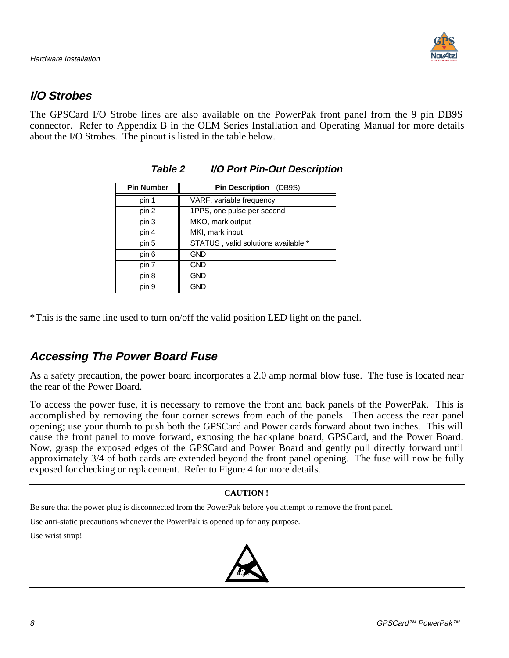#### <span id="page-15-0"></span>**I/O Strobes**

The GPSCard I/O Strobe lines are also available on the PowerPak front panel from the 9 pin DB9S connector. Refer to Appendix B in the OEM Series Installation and Operating Manual for more details about the I/O Strobes. The pinout is listed in the table below.

| <b>Pin Number</b> | <b>Pin Description</b> (DB9S)       |
|-------------------|-------------------------------------|
| pin 1             | VARF, variable frequency            |
| pin 2             | 1PPS, one pulse per second          |
| pin 3             | MKO, mark output                    |
| pin 4             | MKI, mark input                     |
| pin 5             | STATUS, valid solutions available * |
| pin 6             | <b>GND</b>                          |
| pin 7             | <b>GND</b>                          |
| pin 8             | <b>GND</b>                          |
| pin 9             | <b>GND</b>                          |

#### **Table 2 I/O Port Pin-Out Description**

\*This is the same line used to turn on/off the valid position LED light on the panel.

#### **Accessing The Power Board Fuse**

As a safety precaution, the power board incorporates a 2.0 amp normal blow fuse. The fuse is located near the rear of the Power Board.

To access the power fuse, it is necessary to remove the front and back panels of the PowerPak. This is accomplished by removing the four corner screws from each of the panels. Then access the rear panel opening; use your thumb to push both the GPSCard and Power cards forward about two inches. This will cause the front panel to move forward, exposing the backplane board, GPSCard, and the Power Board. Now, grasp the exposed edges of the GPSCard and Power Board and gently pull directly forward until approximately 3/4 of both cards are extended beyond the front panel opening. The fuse will now be fully exposed for checking or replacement. Refer to Figure 4 for more details.

#### **CAUTION !**

Be sure that the power plug is disconnected from the PowerPak before you attempt to remove the front panel.

Use anti-static precautions whenever the PowerPak is opened up for any purpose.

Use wrist strap!

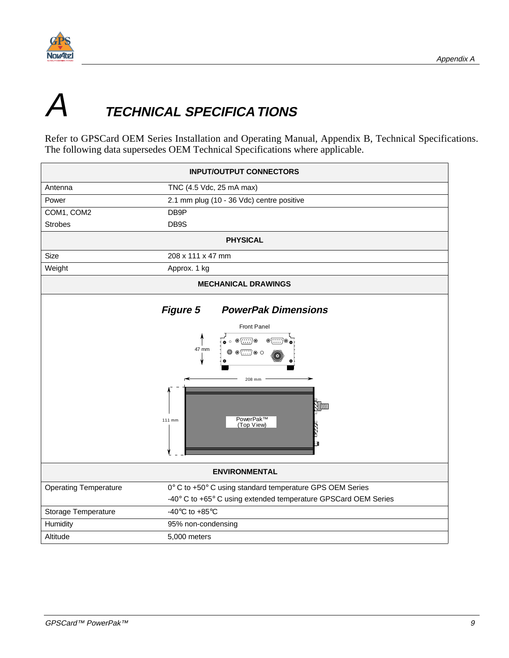<span id="page-16-0"></span>

# **TECHNICAL SPECIFICA TIONS**

Refer to GPSCard OEM Series Installation and Operating Manual, Appendix B, Technical Specifications. The following data supersedes OEM Technical Specifications where applicable.

| <b>INPUT/OUTPUT CONNECTORS</b>                                                                                                                                                                                                  |                                                                |  |
|---------------------------------------------------------------------------------------------------------------------------------------------------------------------------------------------------------------------------------|----------------------------------------------------------------|--|
| Antenna                                                                                                                                                                                                                         | TNC (4.5 Vdc, 25 mA max)                                       |  |
| Power                                                                                                                                                                                                                           | 2.1 mm plug (10 - 36 Vdc) centre positive                      |  |
| COM1, COM2                                                                                                                                                                                                                      | DB9P                                                           |  |
| <b>Strobes</b>                                                                                                                                                                                                                  | DB9S                                                           |  |
|                                                                                                                                                                                                                                 | <b>PHYSICAL</b>                                                |  |
| Size                                                                                                                                                                                                                            | 208 x 111 x 47 mm                                              |  |
| Weight                                                                                                                                                                                                                          | Approx. 1 kg                                                   |  |
|                                                                                                                                                                                                                                 | <b>MECHANICAL DRAWINGS</b>                                     |  |
| <b>Figure 5</b><br><b>PowerPak Dimensions</b><br>Front Panel<br>• ⊙ ⊚ <del>[∷∷</del> )⊚<br>$\circ$ $\circ$ $\circ$<br>47 mm<br>$\circledcirc$ $\circledcirc$ $\circledcirc$<br>208 mm<br>PowerPak™<br>111 mm<br>(Top View)<br>n |                                                                |  |
|                                                                                                                                                                                                                                 | <b>ENVIRONMENTAL</b>                                           |  |
| <b>Operating Temperature</b>                                                                                                                                                                                                    | 0° C to +50° C using standard temperature GPS OEM Series       |  |
|                                                                                                                                                                                                                                 | -40° C to +65° C using extended temperature GPSCard OEM Series |  |
| Storage Temperature                                                                                                                                                                                                             | -40 $\rm{^{\circ}C}$ to +85 $\rm{^{\circ}C}$                   |  |
| Humidity                                                                                                                                                                                                                        | 95% non-condensing                                             |  |
| Altitude                                                                                                                                                                                                                        | 5,000 meters                                                   |  |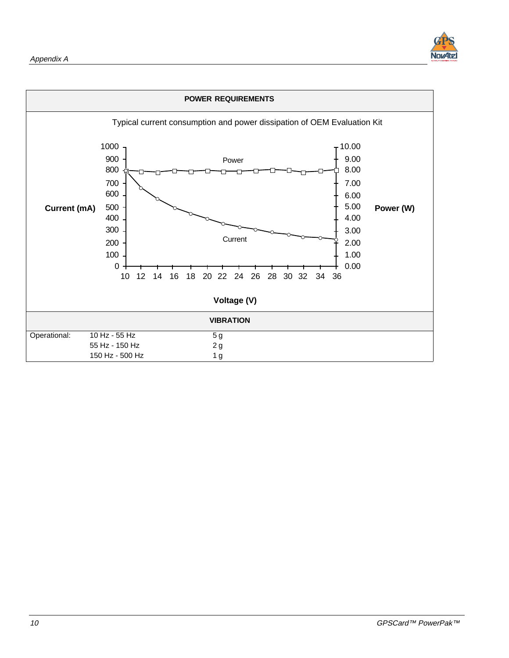

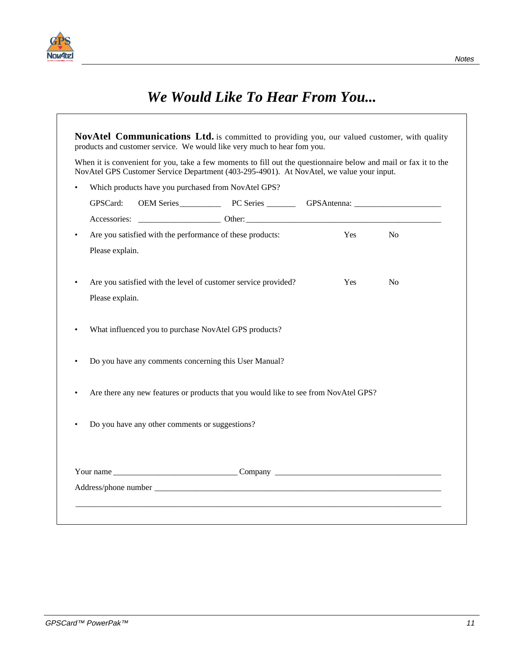

|                                                | When it is convenient for you, take a few moments to fill out the questionnaire below and mail or fax it to the<br>NovAtel GPS Customer Service Department (403-295-4901). At NovAtel, we value your input.                         |            |                |
|------------------------------------------------|-------------------------------------------------------------------------------------------------------------------------------------------------------------------------------------------------------------------------------------|------------|----------------|
|                                                | Which products have you purchased from NovAtel GPS?                                                                                                                                                                                 |            |                |
| GPSCard:                                       | OEM Series PC Series GPSAntenna: COEM Series PC Series COEM Series COEM Series COEM Series COEM SERIES COEM SERIES COEM SERIES COEM SERIES COEM SERIES COEM SERIES COEM SERIES COEM SERIES COEM SERIES COEM SERIES COEM SERIES      |            |                |
|                                                |                                                                                                                                                                                                                                     |            |                |
| $\bullet$                                      | Are you satisfied with the performance of these products:                                                                                                                                                                           | Yes        | <b>No</b>      |
| Please explain.                                |                                                                                                                                                                                                                                     |            |                |
|                                                | Are you satisfied with the level of customer service provided?                                                                                                                                                                      | <b>Yes</b> | N <sub>0</sub> |
| Please explain.                                |                                                                                                                                                                                                                                     |            |                |
|                                                | What influenced you to purchase NovAtel GPS products?                                                                                                                                                                               |            |                |
|                                                | Do you have any comments concerning this User Manual?                                                                                                                                                                               |            |                |
|                                                | Are there any new features or products that you would like to see from NovAtel GPS?                                                                                                                                                 |            |                |
| Do you have any other comments or suggestions? |                                                                                                                                                                                                                                     |            |                |
|                                                |                                                                                                                                                                                                                                     |            |                |
|                                                |                                                                                                                                                                                                                                     |            |                |
|                                                | Address/phone number <b>example 2006</b> and 2007 and 2008 and 2008 and 2008 and 2008 and 2008 and 2008 and 2008 and 2008 and 2008 and 2008 and 2008 and 2008 and 2008 and 2008 and 2008 and 2008 and 2008 and 2008 and 2008 and 20 |            |                |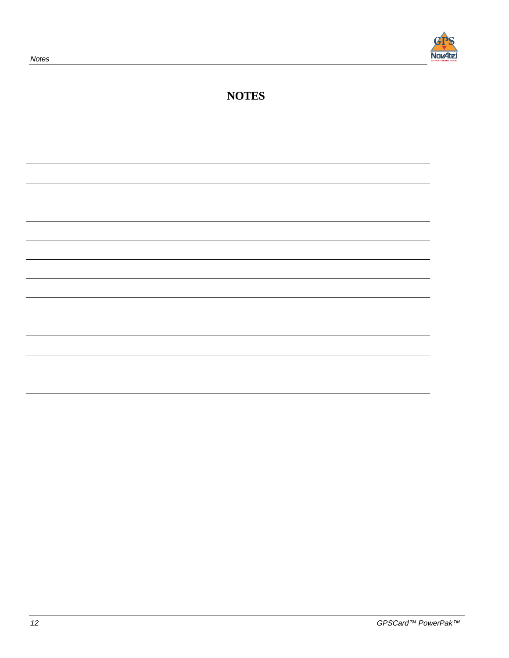

#### **NOTES**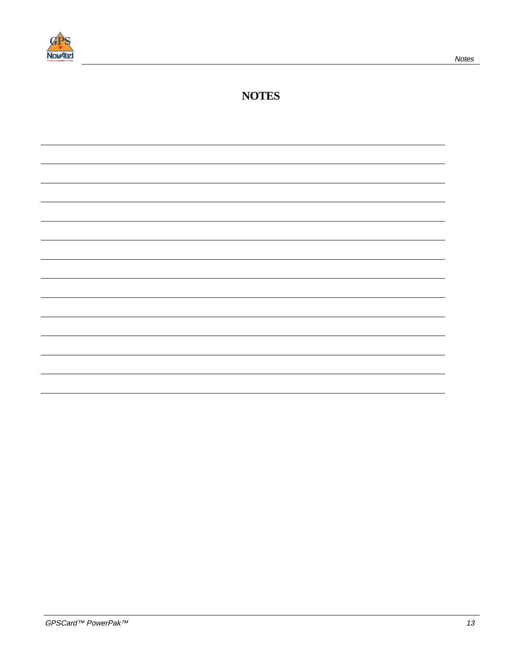

#### **NOTES**

|  |  | and the control of the control of the control of the control of the control of |
|--|--|--------------------------------------------------------------------------------|
|  |  |                                                                                |
|  |  |                                                                                |
|  |  |                                                                                |
|  |  |                                                                                |
|  |  |                                                                                |
|  |  |                                                                                |
|  |  |                                                                                |
|  |  |                                                                                |
|  |  |                                                                                |
|  |  |                                                                                |
|  |  |                                                                                |
|  |  |                                                                                |
|  |  |                                                                                |
|  |  |                                                                                |
|  |  |                                                                                |
|  |  |                                                                                |